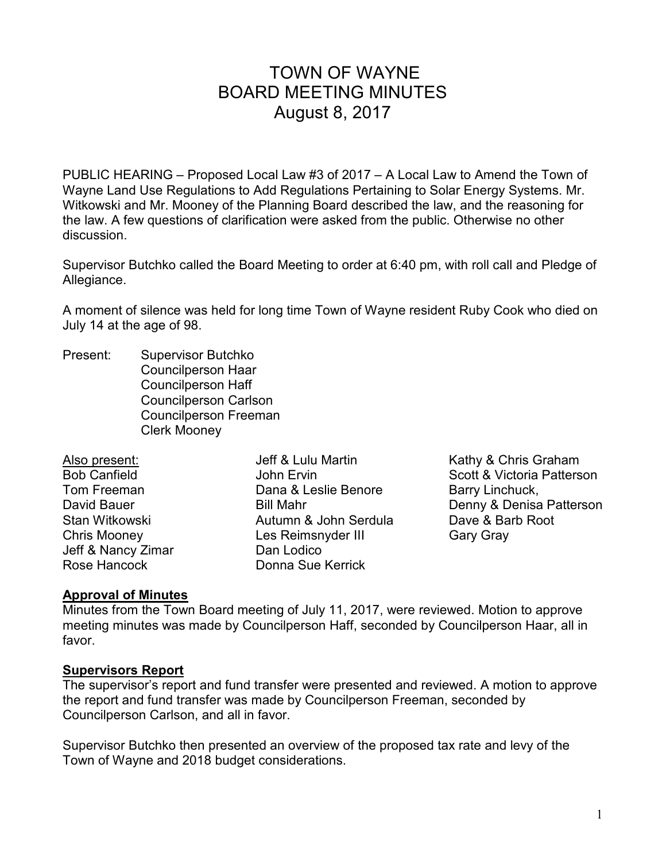# TOWN OF WAYNE BOARD MEETING MINUTES August 8, 2017

PUBLIC HEARING – Proposed Local Law #3 of 2017 – A Local Law to Amend the Town of Wayne Land Use Regulations to Add Regulations Pertaining to Solar Energy Systems. Mr. Witkowski and Mr. Mooney of the Planning Board described the law, and the reasoning for the law. A few questions of clarification were asked from the public. Otherwise no other discussion.

Supervisor Butchko called the Board Meeting to order at 6:40 pm, with roll call and Pledge of Allegiance.

A moment of silence was held for long time Town of Wayne resident Ruby Cook who died on July 14 at the age of 98.

Present: Supervisor Butchko Councilperson Haar Councilperson Haff Councilperson Carlson Councilperson Freeman Clerk Mooney

| Also present:       | Jeff & Lulu Martin    |
|---------------------|-----------------------|
| <b>Bob Canfield</b> | John Ervin            |
| Tom Freeman         | Dana & Leslie Benore  |
| David Bauer         | <b>Bill Mahr</b>      |
| Stan Witkowski      | Autumn & John Serdula |
| <b>Chris Mooney</b> | Les Reimsnyder III    |
| Jeff & Nancy Zimar  | Dan Lodico            |
| Rose Hancock        | Donna Sue Kerrick     |

Kathy & Chris Graham Scott & Victoria Patterson Barry Linchuck, Denny & Denisa Patterson Dave & Barb Root Gary Gray

#### **Approval of Minutes**

Minutes from the Town Board meeting of July 11, 2017, were reviewed. Motion to approve meeting minutes was made by Councilperson Haff, seconded by Councilperson Haar, all in favor.

#### **Supervisors Report**

The supervisor's report and fund transfer were presented and reviewed. A motion to approve the report and fund transfer was made by Councilperson Freeman, seconded by Councilperson Carlson, and all in favor.

Supervisor Butchko then presented an overview of the proposed tax rate and levy of the Town of Wayne and 2018 budget considerations.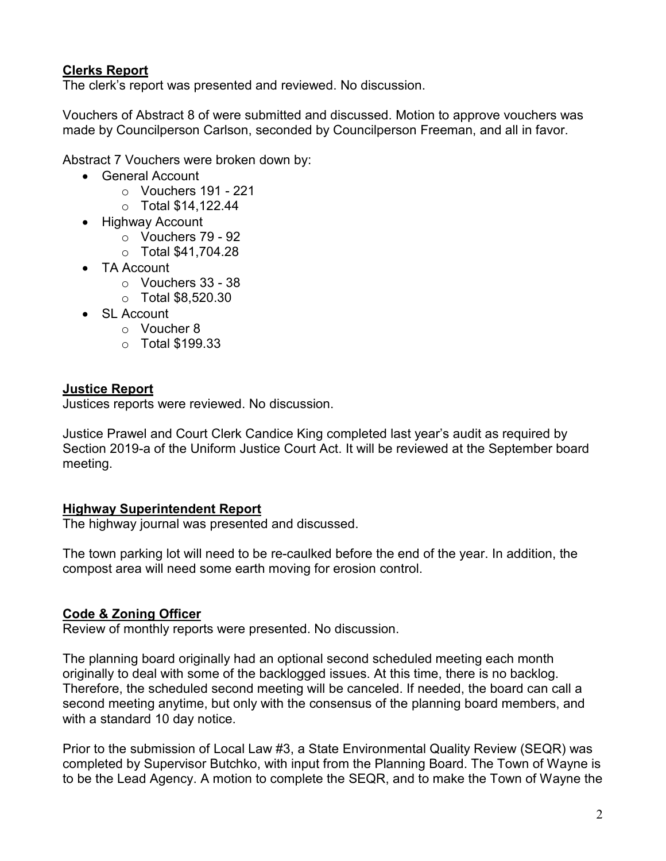# **Clerks Report**

The clerk's report was presented and reviewed. No discussion.

Vouchers of Abstract 8 of were submitted and discussed. Motion to approve vouchers was made by Councilperson Carlson, seconded by Councilperson Freeman, and all in favor.

Abstract 7 Vouchers were broken down by:

- General Account
	- $\circ$  Vouchers 191 221
	- o Total \$14,122.44
- Highway Account
	- o Vouchers 79 92
	- o Total \$41,704.28
- TA Account
	- o Vouchers 33 38
	- o Total \$8,520.30
- SL Account
	- o Voucher 8
	- o Total \$199.33

# **Justice Report**

Justices reports were reviewed. No discussion.

Justice Prawel and Court Clerk Candice King completed last year's audit as required by Section 2019-a of the Uniform Justice Court Act. It will be reviewed at the September board meeting.

#### **Highway Superintendent Report**

The highway journal was presented and discussed.

The town parking lot will need to be re-caulked before the end of the year. In addition, the compost area will need some earth moving for erosion control.

# **Code & Zoning Officer**

Review of monthly reports were presented. No discussion.

The planning board originally had an optional second scheduled meeting each month originally to deal with some of the backlogged issues. At this time, there is no backlog. Therefore, the scheduled second meeting will be canceled. If needed, the board can call a second meeting anytime, but only with the consensus of the planning board members, and with a standard 10 day notice.

Prior to the submission of Local Law #3, a State Environmental Quality Review (SEQR) was completed by Supervisor Butchko, with input from the Planning Board. The Town of Wayne is to be the Lead Agency. A motion to complete the SEQR, and to make the Town of Wayne the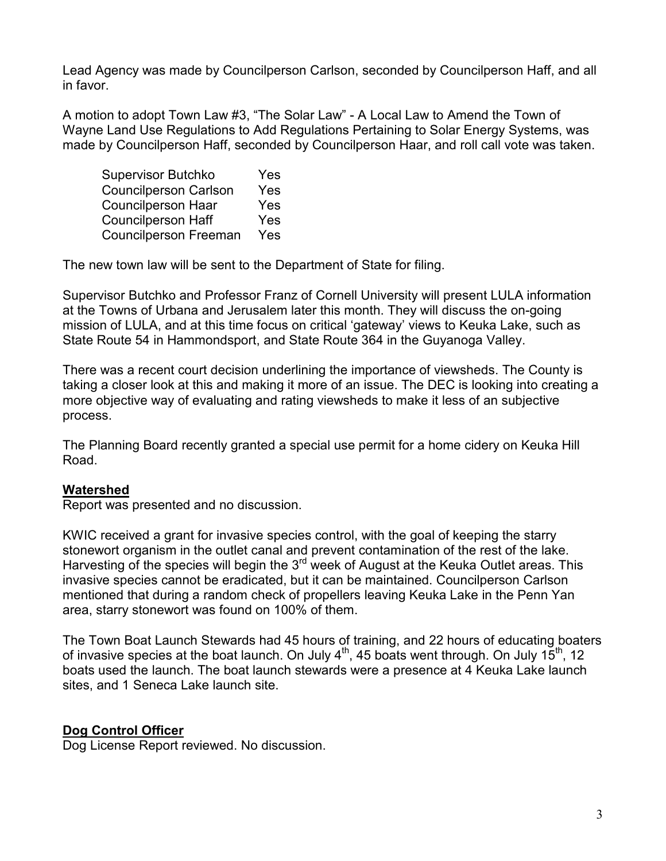Lead Agency was made by Councilperson Carlson, seconded by Councilperson Haff, and all in favor.

A motion to adopt Town Law #3, "The Solar Law" - A Local Law to Amend the Town of Wayne Land Use Regulations to Add Regulations Pertaining to Solar Energy Systems, was made by Councilperson Haff, seconded by Councilperson Haar, and roll call vote was taken.

| <b>Supervisor Butchko</b>    | Yes |
|------------------------------|-----|
| <b>Councilperson Carlson</b> | Yes |
| <b>Councilperson Haar</b>    | Yes |
| <b>Councilperson Haff</b>    | Yes |
| <b>Councilperson Freeman</b> | Yes |

The new town law will be sent to the Department of State for filing.

Supervisor Butchko and Professor Franz of Cornell University will present LULA information at the Towns of Urbana and Jerusalem later this month. They will discuss the on-going mission of LULA, and at this time focus on critical 'gateway' views to Keuka Lake, such as State Route 54 in Hammondsport, and State Route 364 in the Guyanoga Valley.

There was a recent court decision underlining the importance of viewsheds. The County is taking a closer look at this and making it more of an issue. The DEC is looking into creating a more objective way of evaluating and rating viewsheds to make it less of an subjective process.

The Planning Board recently granted a special use permit for a home cidery on Keuka Hill Road.

#### **Watershed**

Report was presented and no discussion.

KWIC received a grant for invasive species control, with the goal of keeping the starry stonewort organism in the outlet canal and prevent contamination of the rest of the lake. Harvesting of the species will begin the  $3<sup>rd</sup>$  week of August at the Keuka Outlet areas. This invasive species cannot be eradicated, but it can be maintained. Councilperson Carlson mentioned that during a random check of propellers leaving Keuka Lake in the Penn Yan area, starry stonewort was found on 100% of them.

The Town Boat Launch Stewards had 45 hours of training, and 22 hours of educating boaters of invasive species at the boat launch. On July  $4^{th}$ , 45 boats went through. On July  $15^{th}$ , 12 boats used the launch. The boat launch stewards were a presence at 4 Keuka Lake launch sites, and 1 Seneca Lake launch site.

# **Dog Control Officer**

Dog License Report reviewed. No discussion.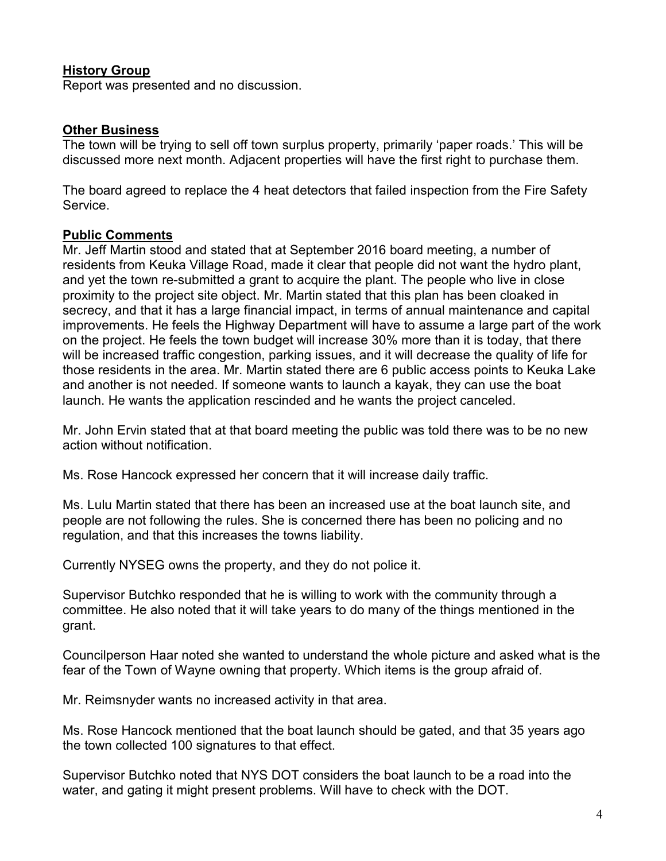## **History Group**

Report was presented and no discussion.

#### **Other Business**

The town will be trying to sell off town surplus property, primarily 'paper roads.' This will be discussed more next month. Adjacent properties will have the first right to purchase them.

The board agreed to replace the 4 heat detectors that failed inspection from the Fire Safety Service.

## **Public Comments**

Mr. Jeff Martin stood and stated that at September 2016 board meeting, a number of residents from Keuka Village Road, made it clear that people did not want the hydro plant, and yet the town re-submitted a grant to acquire the plant. The people who live in close proximity to the project site object. Mr. Martin stated that this plan has been cloaked in secrecy, and that it has a large financial impact, in terms of annual maintenance and capital improvements. He feels the Highway Department will have to assume a large part of the work on the project. He feels the town budget will increase 30% more than it is today, that there will be increased traffic congestion, parking issues, and it will decrease the quality of life for those residents in the area. Mr. Martin stated there are 6 public access points to Keuka Lake and another is not needed. If someone wants to launch a kayak, they can use the boat launch. He wants the application rescinded and he wants the project canceled.

Mr. John Ervin stated that at that board meeting the public was told there was to be no new action without notification.

Ms. Rose Hancock expressed her concern that it will increase daily traffic.

Ms. Lulu Martin stated that there has been an increased use at the boat launch site, and people are not following the rules. She is concerned there has been no policing and no regulation, and that this increases the towns liability.

Currently NYSEG owns the property, and they do not police it.

Supervisor Butchko responded that he is willing to work with the community through a committee. He also noted that it will take years to do many of the things mentioned in the grant.

Councilperson Haar noted she wanted to understand the whole picture and asked what is the fear of the Town of Wayne owning that property. Which items is the group afraid of.

Mr. Reimsnyder wants no increased activity in that area.

Ms. Rose Hancock mentioned that the boat launch should be gated, and that 35 years ago the town collected 100 signatures to that effect.

Supervisor Butchko noted that NYS DOT considers the boat launch to be a road into the water, and gating it might present problems. Will have to check with the DOT.